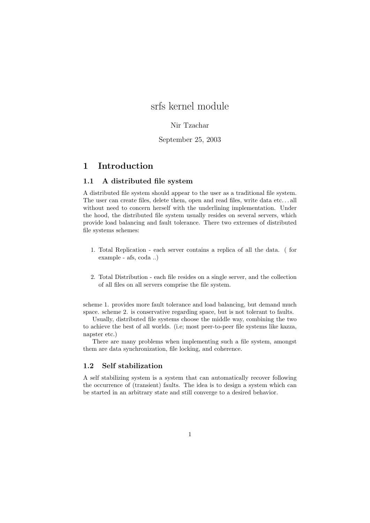# srfs kernel module

## Nir Tzachar

## September 25, 2003

## 1 Introduction

### 1.1 A distributed file system

A distributed file system should appear to the user as a traditional file system. The user can create files, delete them, open and read files, write data etc. . . all without need to concern herself with the underlining implementation. Under the hood, the distributed file system usually resides on several servers, which provide load balancing and fault tolerance. There two extremes of distributed file systems schemes:

- 1. Total Replication each server contains a replica of all the data. ( for example - afs, coda ..)
- 2. Total Distribution each file resides on a single server, and the collection of all files on all servers comprise the file system.

scheme 1. provides more fault tolerance and load balancing, but demand much space. scheme 2. is conservative regarding space, but is not tolerant to faults.

Usually, distributed file systems choose the middle way, combining the two to achieve the best of all worlds. (i.e; most peer-to-peer file systems like kazza, napster etc.)

There are many problems when implementing such a file system, amongst them are data synchronization, file locking, and coherence.

## 1.2 Self stabilization

A self stabilizing system is a system that can automatically recover following the occurrence of (transient) faults. The idea is to design a system which can be started in an arbitrary state and still converge to a desired behavior.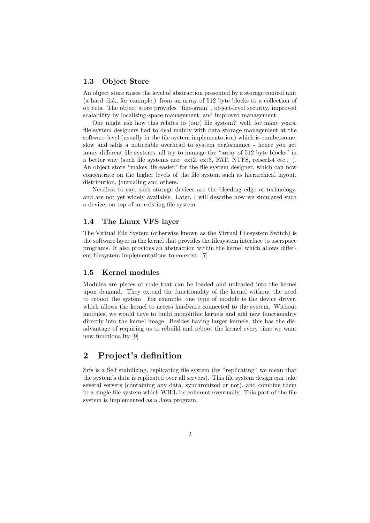#### 1.3 Object Store

An object store raises the level of abstraction presented by a storage control unit (a hard disk, for example.) from an array of 512 byte blocks to a collection of objects. The object store provides "fine-grain", object-level security, improved scalability by localizing space management, and improved management.

One might ask how this relates to (our) file system? well, for many years, file system designers had to deal mainly with data storage management at the software level (usually in the file system implementation) which is cumbersome, slow and adds a noticeable overhead to system performance - hence you get many different file systems, all try to manage the "array of 512 byte blocks" in a better way (such file systems are: ext2, ext3, FAT, NTFS, reiserfs4 etc.. ). An object store "makes life easier" for the file system designer, which can now concentrate on the higher levels of the file system such as hierarchical layout, distribution, journaling and others.

Needless to say, such storage devices are the bleeding edge of technology, and are not yet widely available. Later, I will describe how we simulated such a device, on top of an existing file system.

### 1.4 The Linux VFS layer

The Virtual File System (otherwise known as the Virtual Filesystem Switch) is the software layer in the kernel that provides the filesystem interface to userspace programs. It also provides an abstraction within the kernel which allows different filesystem implementations to co-exist. [7]

#### 1.5 Kernel modules

Modules are pieces of code that can be loaded and unloaded into the kernel upon demand. They extend the functionality of the kernel without the need to reboot the system. For example, one type of module is the device driver, which allows the kernel to access hardware connected to the system. Without modules, we would have to build monolithic kernels and add new functionality directly into the kernel image. Besides having larger kernels, this has the disadvantage of requiring us to rebuild and reboot the kernel every time we want new functionality [9]

## 2 Project's definition

Srfs is a Self stabilizing, replicating file system (by "replicating" we mean that the system's data is replicated over all servers). This file system design can take several servers (containing any data, synchronized or not), and combine them to a single file system which WILL be coherent eventually. This part of the file system is implemented as a Java program.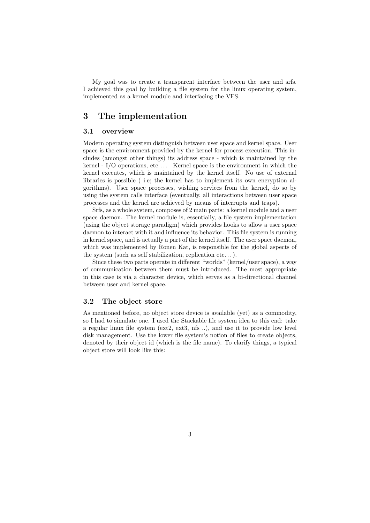My goal was to create a transparent interface between the user and srfs. I achieved this goal by building a file system for the linux operating system, implemented as a kernel module and interfacing the VFS.

## 3 The implementation

#### 3.1 overview

Modern operating system distinguish between user space and kernel space. User space is the environment provided by the kernel for process execution. This includes (amongst other things) its address space - which is maintained by the kernel  $-I/O$  operations, etc  $\ldots$  Kernel space is the environment in which the kernel executes, which is maintained by the kernel itself. No use of external libraries is possible ( i.e; the kernel has to implement its own encryption algorithms). User space processes, wishing services from the kernel, do so by using the system calls interface (eventually, all interactions between user space processes and the kernel are achieved by means of interrupts and traps).

Srfs, as a whole system, composes of 2 main parts: a kernel module and a user space daemon. The kernel module is, essentially, a file system implementation (using the object storage paradigm) which provides hooks to allow a user space daemon to interact with it and influence its behavior. This file system is running in kernel space, and is actually a part of the kernel itself. The user space daemon, which was implemented by Ronen Kat, is responsible for the global aspects of the system (such as self stabilization, replication etc...).

Since these two parts operate in different "worlds" (kernel/user space), a way of communication between them must be introduced. The most appropriate in this case is via a character device, which serves as a bi-directional channel between user and kernel space.

#### 3.2 The object store

As mentioned before, no object store device is available (yet) as a commodity, so I had to simulate one. I used the Stackable file system idea to this end: take a regular linux file system (ext2, ext3, nfs ..), and use it to provide low level disk management. Use the lower file system's notion of files to create objects, denoted by their object id (which is the file name). To clarify things, a typical object store will look like this: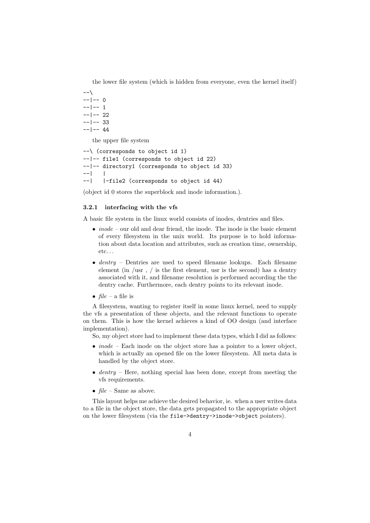the lower file system (which is hidden from everyone, even the kernel itself)

```
--\lambda- - |- - 0--- 1
--- 22
--- 33
--|-- 44
```
the upper file system

```
--\ (corresponds to object id 1)
--|-- file1 (corresponds to object id 22)
--|-- directory1 (corresponds to object id 33)
-| |--| |-file2 (corresponds to object id 44)
```
(object id 0 stores the superblock and inode information.).

### 3.2.1 interfacing with the vfs

A basic file system in the linux world consists of inodes, dentries and files.

- $inode$  our old and dear friend, the inode. The inode is the basic element of every filesystem in the unix world. Its purpose is to hold information about data location and attributes, such as creation time, ownership,  $etc.$ ...
- $dentry$  Dentries are used to speed filename lookups. Each filename element (in /usr , / is the first element, usr is the second) has a dentry associated with it, and filename resolution is performed according the the dentry cache. Furthermore, each dentry points to its relevant inode.
- $file a file$  is

A filesystem, wanting to register itself in some linux kernel, need to supply the vfs a presentation of these objects, and the relevant functions to operate on them. This is how the kernel achieves a kind of OO design (and interface implementation).

So, my object store had to implement these data types, which I did as follows:

- *inode* Each inode on the object store has a pointer to a lower object. which is actually an opened file on the lower filesystem. All meta data is handled by the object store.
- $\bullet$  dentry Here, nothing special has been done, except from meeting the vfs requirements.
- $file$  Same as above.

This layout helps me achieve the desired behavior, ie. when a user writes data to a file in the object store, the data gets propagated to the appropriate object on the lower filesystem (via the file->dentry->inode->object pointers).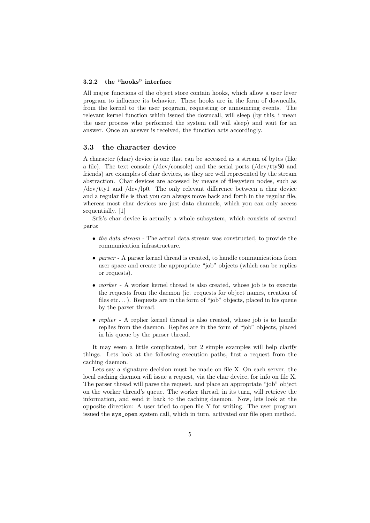#### 3.2.2 the "hooks" interface

All major functions of the object store contain hooks, which allow a user lever program to influence its behavior. These hooks are in the form of downcalls, from the kernel to the user program, requesting or announcing events. The relevant kernel function which issued the downcall, will sleep (by this, i mean the user process who performed the system call will sleep) and wait for an answer. Once an answer is received, the function acts accordingly.

### 3.3 the character device

A character (char) device is one that can be accessed as a stream of bytes (like a file). The text console (/dev/console) and the serial ports (/dev/ttyS0 and friends) are examples of char devices, as they are well represented by the stream abstraction. Char devices are accessed by means of filesystem nodes, such as /dev/tty1 and /dev/lp0. The only relevant difference between a char device and a regular file is that you can always move back and forth in the regular file, whereas most char devices are just data channels, which you can only access sequentially. [1]

Srfs's char device is actually a whole subsystem, which consists of several parts:

- the data stream The actual data stream was constructed, to provide the communication infrastructure.
- parser A parser kernel thread is created, to handle communications from user space and create the appropriate "job" objects (which can be replies or requests).
- worker A worker kernel thread is also created, whose job is to execute the requests from the daemon (ie. requests for object names, creation of files etc...). Requests are in the form of "job" objects, placed in his queue by the parser thread.
- replier  $-$  A replier kernel thread is also created, whose job is to handle replies from the daemon. Replies are in the form of "job" objects, placed in his queue by the parser thread.

It may seem a little complicated, but 2 simple examples will help clarify things. Lets look at the following execution paths, first a request from the caching daemon.

Lets say a signature decision must be made on file X. On each server, the local caching daemon will issue a request, via the char device, for info on file X. The parser thread will parse the request, and place an appropriate "job" object on the worker thread's queue. The worker thread, in its turn, will retrieve the information, and send it back to the caching daemon. Now, lets look at the opposite direction: A user tried to open file Y for writing. The user program issued the sys\_open system call, which in turn, activated our file open method.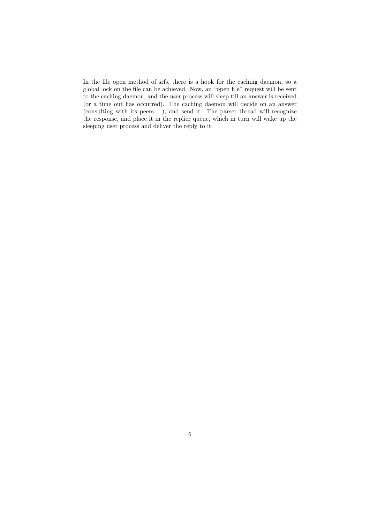In the file open method of srfs, there is a hook for the caching daemon, so a global lock on the file can be achieved. Now, an "open file" request will be sent to the caching daemon, and the user process will sleep till an answer is received (or a time out has occurred). The caching daemon will decide on an answer (consulting with its peers. . . ), and send it. The parser thread will recognize the response, and place it in the replier queue, which in turn will wake up the sleeping user process and deliver the reply to it.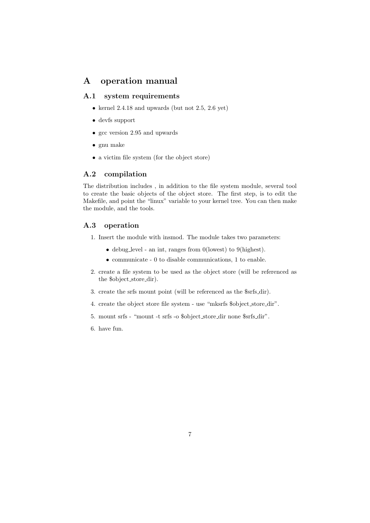## A operation manual

## A.1 system requirements

- kernel 2.4.18 and upwards (but not 2.5, 2.6 yet)
- devfs support
- gcc version 2.95 and upwards
- gnu make
- a victim file system (for the object store)

### A.2 compilation

The distribution includes , in addition to the file system module, several tool to create the basic objects of the object store. The first step, is to edit the Makefile, and point the "linux" variable to your kernel tree. You can then make the module, and the tools.

### A.3 operation

- 1. Insert the module with insmod. The module takes two parameters:
	- debug level an int, ranges from 0(lowest) to 9(highest).
	- communicate 0 to disable communications, 1 to enable.
- 2. create a file system to be used as the object store (will be referenced as the \$object store dir).
- 3. create the srfs mount point (will be referenced as the \$srfs dir).
- 4. create the object store file system use "mksrfs \$object store dir".
- 5. mount srfs "mount -t srfs -o \$object store dir none \$srfs dir".
- 6. have fun.